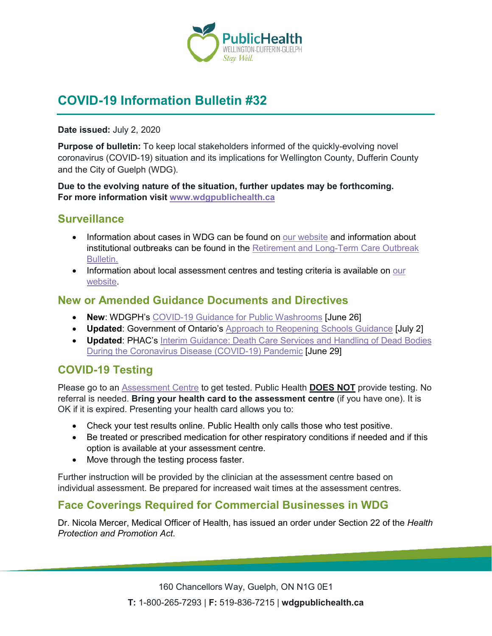

# **COVID-19 Information Bulletin #32**

#### **Date issued:** July 2, 2020

**Purpose of bulletin:** To keep local stakeholders informed of the quickly-evolving novel coronavirus (COVID-19) situation and its implications for Wellington County, Dufferin County and the City of Guelph (WDG).

**Due to the evolving nature of the situation, further updates may be forthcoming. For more information visit [www.wdgpublichealth.ca](http://www.wdgpublichealth.ca/)**

#### **Surveillance**

- Information about cases in WDG can be found on [our website](https://wdgpublichealth.ca/your-health/covid-19-information-public/status-cases-wdg) and information about institutional outbreaks can be found in the [Retirement and Long-Term Care Outbreak](https://wdgpublichealth.ca/node/1542)  [Bulletin.](https://wdgpublichealth.ca/node/1542)
- Information about local assessment centres and testing criteria is available on our [website.](https://www.wdgpublichealth.ca/your-health/covid-19-information-public/assessment-centres-wdg)

### **New or Amended Guidance Documents and Directives**

- **New**: WDGPH's [COVID-19 Guidance for Public Washrooms](https://wdgpublichealth.ca/sites/default/files/public_washrooms_guidance.pdf) [June 26]
- **Updated**: Government of Ontario's [Approach to Reopening Schools](https://www.ontario.ca/page/approach-reopening-schools-2020-2021-school-year) Guidance [July 2]
- **Updated**: PHAC's [Interim Guidance: Death Care Services and Handling of Dead Bodies](https://www.canada.ca/en/public-health/services/diseases/2019-novel-coronavirus-infection/guidance-documents/death-care-services-handling-dead-bodies.html)  During the [Coronavirus Disease \(COVID-19\) Pandemic](https://www.canada.ca/en/public-health/services/diseases/2019-novel-coronavirus-infection/guidance-documents/death-care-services-handling-dead-bodies.html) [June 29]

## **COVID-19 Testing**

Please go to an [Assessment Centre](https://wdgpublichealth.ca/your-health/covid-19-information-public/assessment-centres-wdg) to get tested. Public Health **DOES NOT** provide testing. No referral is needed. **Bring your health card to the assessment centre** (if you have one). It is OK if it is expired. Presenting your health card allows you to:

- Check your test results online. Public Health only calls those who test positive.
- Be treated or prescribed medication for other respiratory conditions if needed and if this option is available at your assessment centre.
- Move through the testing process faster.

Further instruction will be provided by the clinician at the assessment centre based on individual assessment. Be prepared for increased wait times at the assessment centres.

### **Face Coverings Required for Commercial Businesses in WDG**

Dr. Nicola Mercer, Medical Officer of Health, has issued an order under Section 22 of the *Health Protection and Promotion Act*.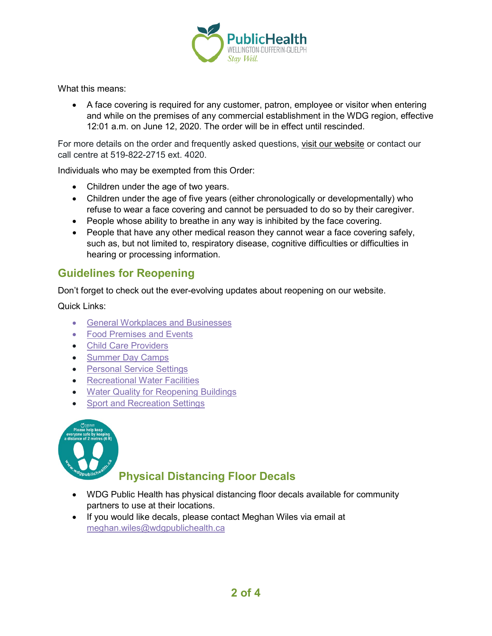

What this means:

• A face covering is required for any customer, patron, employee or visitor when entering and while on the premises of any commercial establishment in the WDG region, effective 12:01 a.m. on June 12, 2020. The order will be in effect until rescinded.

For more details on the order and frequently asked questions, [visit our website](https://www.wdgpublichealth.ca/your-health/covid-19-information-public/face-coverings-class-order-and-faqs) or contact our call centre at 519-822-2715 ext. 4020.

Individuals who may be exempted from this Order:

- Children under the age of two years.
- Children under the age of five years (either chronologically or developmentally) who refuse to wear a face covering and cannot be persuaded to do so by their caregiver.
- People whose ability to breathe in any way is inhibited by the face covering.
- People that have any other medical reason they cannot wear a face covering safely, such as, but not limited to, respiratory disease, cognitive difficulties or difficulties in hearing or processing information.

### **Guidelines for Reopening**

Don't forget to check out the ever-evolving updates about reopening on our website.

Quick Links:

- [General Workplaces and Businesses](https://www.wdgpublichealth.ca/your-health/covid-19-information-workplaces-and-living-spaces/workplaces-and-businesses)
- [Food Premises and Events](https://wdgpublichealth.ca/your-health/covid-19-information-workplaces-and-living-spaces/food-premises-and-events)
- [Child Care Providers](https://www.wdgpublichealth.ca/your-health/covid-19-information-workplaces-and-living-spaces/child-care-providers)
- [Summer Day Camps](https://www.wdgpublichealth.ca/your-health/covid-19-information-workplaces-and-living-spaces/summer-day-camp-providers)
- Personal [Service Settings](https://www.wdgpublichealth.ca/your-health/covid-19-information-workplaces-and-living-spaces/personal-service-settings)
- [Recreational Water Facilities](https://www.wdgpublichealth.ca/your-health/covid-19-information-workplaces-and-living-spaces/recreational-water-facilities)
- [Water Quality for Reopening Buildings](https://wdgpublichealth.ca/your-health/covid-19-information-workplaces-and-living-spaces/water-quality-reopening-buildings)
- [Sport and Recreation Settings](https://wdgpublichealth.ca/your-health/covid-19-information-workplaces-and-living-spaces/sport-and-recreation-settings)



## **Physical Distancing Floor Decals**

- WDG Public Health has physical distancing floor decals available for community partners to use at their locations.
- If you would like decals, please contact Meghan Wiles via email at [meghan.wiles@wdgpublichealth.ca](https://wdgpublichealth.sharepoint.com/sites/IMS-NovelCoronavirus/Shared%20Documents/General/Communications/COVID-19/Stakeholders/COVID-19%20Information%20Bulletin/Bulletin%2018/meghan.wiles@wdgpublichealth.ca)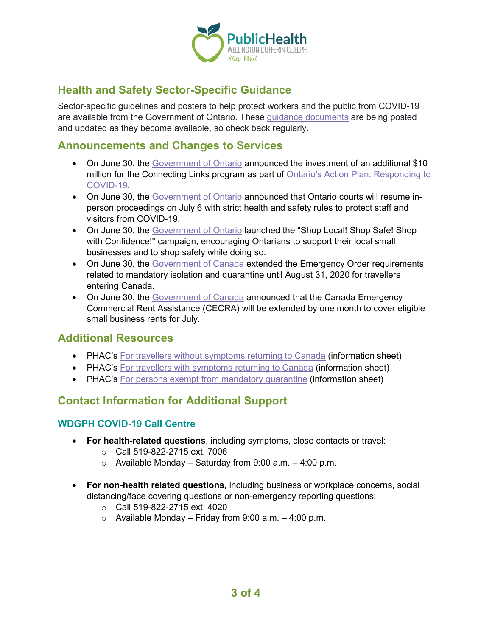

## **Health and Safety Sector-Specific Guidance**

Sector-specific guidelines and posters to help protect workers and the public from COVID-19 are available from the Government of Ontario. These [guidance documents](https://www.ontario.ca/page/resources-prevent-covid-19-workplace) are being posted and updated as they become available, so check back regularly.

### **Announcements and Changes to Services**

- On June 30, the [Government of Ontario](https://news.ontario.ca/mto/en/2020/06/ontario-building-a-safer-more-reliable-transportation-system.html) announced the investment of an additional \$10 million for the Connecting Links program as part of [Ontario's Action Plan: Responding to](https://budget.ontario.ca/2020/marchupdate/index.html?_ga=2.45692512.531454884.1593696988-1123331746.1579028832)  [COVID-19.](https://budget.ontario.ca/2020/marchupdate/index.html?_ga=2.45692512.531454884.1593696988-1123331746.1579028832)
- On June 30, the [Government of Ontario](https://news.ontario.ca/mag/en/2020/06/ontario-courts-gradually-resuming-in-person-proceedings.html) announced that Ontario courts will resume inperson proceedings on July 6 with strict health and safety rules to protect staff and visitors from COVID-19.
- On June 30, the [Government of Ontario](https://news.ontario.ca/medg/en/2020/06/ontario-encourages-support-of-local-small-businesses.html) launched the "Shop Local! Shop Safe! Shop with Confidence!" campaign, encouraging Ontarians to support their local small businesses and to shop safely while doing so.
- On June 30, the [Government of Canada](https://www.canada.ca/en/public-health/news/2020/06/canada-extends-mandatory-requirements-under-the-quarantine-act-for-anyone-entering-canada.html) extended the Emergency Order requirements related to mandatory isolation and quarantine until August 31, 2020 for travellers entering Canada.
- On June 30, the [Government of Canada](https://www.canada.ca/en/department-finance/news/2020/06/government-announces-extension-of-rent-relief-program-for-small-businesses.html) announced that the Canada Emergency Commercial Rent Assistance (CECRA) will be extended by one month to cover eligible small business rents for July.

### **Additional Resources**

- PHAC's [For travellers without symptoms returning to Canada](https://www.canada.ca/en/public-health/services/publications/diseases-conditions/2019-novel-coronavirus-information-sheet.html) (information sheet)
- PHAC's [For travellers with symptoms returning to Canada](https://www.canada.ca/en/public-health/services/publications/diseases-conditions/travellers-with-symptoms-return-canada.html) (information sheet)
- PHAC's [For persons exempt from mandatory quarantine](https://www.canada.ca/en/public-health/services/publications/diseases-conditions/covid-19-information-essential-service-workers.html) (information sheet)

## **Contact Information for Additional Support**

#### **WDGPH COVID-19 Call Centre**

- **For health-related questions**, including symptoms, close contacts or travel:
	- o Call 519-822-2715 ext. 7006
	- $\circ$  Available Monday Saturday from 9:00 a.m. 4:00 p.m.
- **For non-health related questions**, including business or workplace concerns, social distancing/face covering questions or non-emergency reporting questions:
	- $\circ$  Call 519-822-2715 ext. 4020
	- $\circ$  Available Monday Friday from 9:00 a.m. 4:00 p.m.